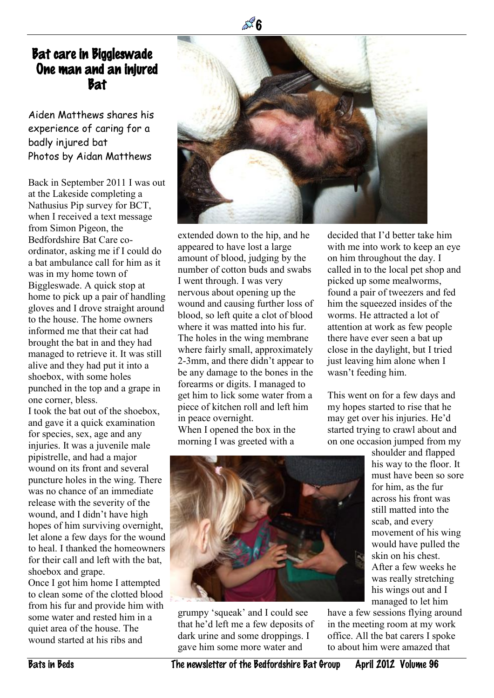## Bat care in Biggleswade – One man and an injured Bat

Aiden Matthews shares his experience of caring for a badly injured bat Photos by Aidan Matthews

Back in September 2011 I was out at the Lakeside completing a Nathusius Pip survey for BCT, when I received a text message from Simon Pigeon, the Bedfordshire Bat Care coordinator, asking me if I could do a bat ambulance call for him as it was in my home town of Biggleswade. A quick stop at home to pick up a pair of handling gloves and I drove straight around to the house. The home owners informed me that their cat had brought the bat in and they had managed to retrieve it. It was still alive and they had put it into a shoebox, with some holes punched in the top and a grape in one corner, bless.

I took the bat out of the shoebox, and gave it a quick examination for species, sex, age and any injuries. It was a juvenile male pipistrelle, and had a major wound on its front and several puncture holes in the wing. There was no chance of an immediate release with the severity of the wound, and I didn't have high hopes of him surviving overnight, let alone a few days for the wound to heal. I thanked the homeowners for their call and left with the bat, shoebox and grape. Once I got him home I attempted to clean some of the clotted blood from his fur and provide him with some water and rested him in a

quiet area of the house. The wound started at his ribs and



extended down to the hip, and he appeared to have lost a large amount of blood, judging by the number of cotton buds and swabs I went through. I was very nervous about opening up the wound and causing further loss of blood, so left quite a clot of blood where it was matted into his fur. The holes in the wing membrane where fairly small, approximately 2-3mm, and there didn't appear to be any damage to the bones in the forearms or digits. I managed to get him to lick some water from a piece of kitchen roll and left him in peace overnight. When I opened the box in the morning I was greeted with a

decided that I'd better take him with me into work to keep an eye on him throughout the day. I called in to the local pet shop and picked up some mealworms, found a pair of tweezers and fed him the squeezed insides of the worms. He attracted a lot of attention at work as few people there have ever seen a bat up close in the daylight, but I tried just leaving him alone when I wasn't feeding him.

This went on for a few days and my hopes started to rise that he may get over his injuries. He'd started trying to crawl about and on one occasion jumped from my



grumpy 'squeak' and I could see that he'd left me a few deposits of dark urine and some droppings. I gave him some more water and

shoulder and flapped his way to the floor. It must have been so sore for him, as the fur across his front was still matted into the scab, and every movement of his wing would have pulled the skin on his chest. After a few weeks he was really stretching his wings out and I managed to let him

have a few sessions flying around in the meeting room at my work office. All the bat carers I spoke to about him were amazed that